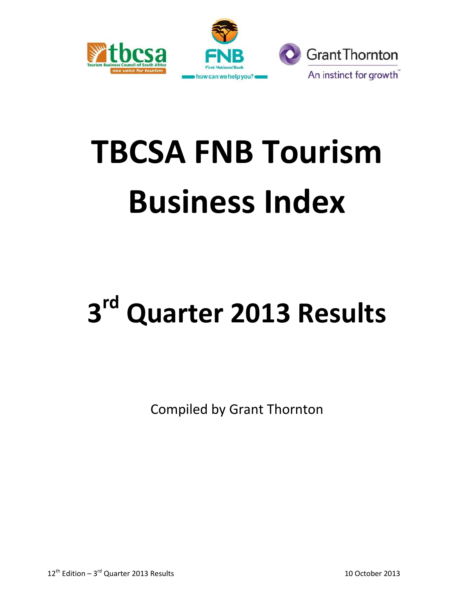

# **TBCSA FNB Tourism Business Index**

# **3 rd Quarter 2013 Results**

Compiled by Grant Thornton

 $12^{\text{th}}$  Edition – 3<sup>rd</sup> Quarter 2013 Results 10 October 2013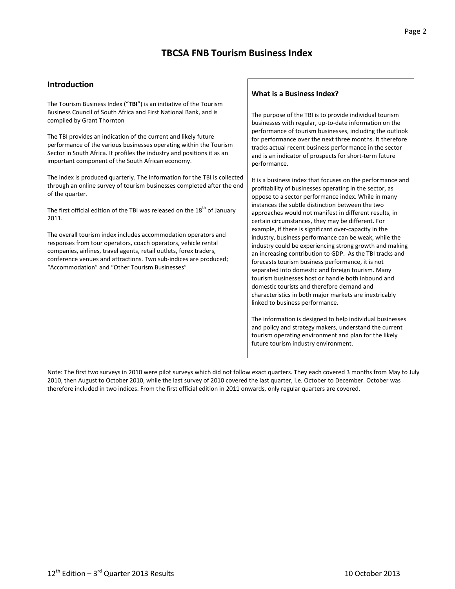# **TBCSA FNB Tourism Business Index**

#### **Introduction**

The Tourism Business Index ("**TBI**") is an initiative of the Tourism Business Council of South Africa and First National Bank, and is compiled by Grant Thornton

The TBI provides an indication of the current and likely future performance of the various businesses operating within the Tourism Sector in South Africa. It profiles the industry and positions it as an important component of the South African economy.

The index is produced quarterly. The information for the TBI is collected through an online survey of tourism businesses completed after the end of the quarter.

The first official edition of the TBI was released on the 18<sup>th</sup> of January 2011.

The overall tourism index includes accommodation operators and responses from tour operators, coach operators, vehicle rental companies, airlines, travel agents, retail outlets, forex traders, conference venues and attractions. Two sub-indices are produced; "Accommodation" and "Other Tourism Businesses"

#### **What is a Business Index?**

The purpose of the TBI is to provide individual tourism businesses with regular, up-to-date information on the performance of tourism businesses, including the outlook for performance over the next three months. It therefore tracks actual recent business performance in the sector and is an indicator of prospects for short-term future performance.

It is a business index that focuses on the performance and profitability of businesses operating in the sector, as oppose to a sector performance index. While in many instances the subtle distinction between the two approaches would not manifest in different results, in certain circumstances, they may be different. For example, if there is significant over-capacity in the industry, business performance can be weak, while the industry could be experiencing strong growth and making an increasing contribution to GDP. As the TBI tracks and forecasts tourism business performance, it is not separated into domestic and foreign tourism. Many tourism businesses host or handle both inbound and domestic tourists and therefore demand and characteristics in both major markets are inextricably linked to business performance.

The information is designed to help individual businesses and policy and strategy makers, understand the current tourism operating environment and plan for the likely future tourism industry environment.

Note: The first two surveys in 2010 were pilot surveys which did not follow exact quarters. They each covered 3 months from May to July 2010, then August to October 2010, while the last survey of 2010 covered the last quarter, i.e. October to December. October was therefore included in two indices. From the first official edition in 2011 onwards, only regular quarters are covered.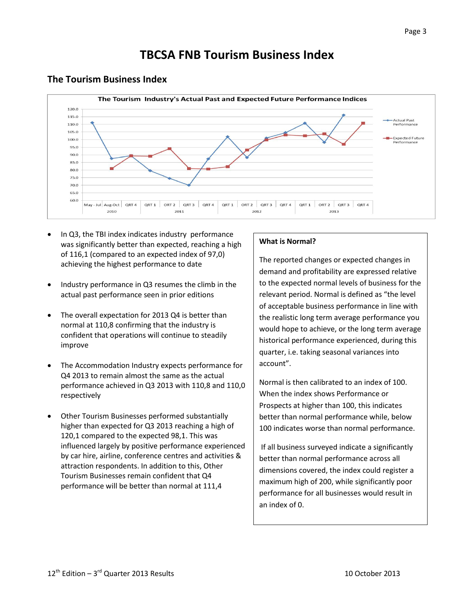# **TBCSA FNB Tourism Business Index**



### **The Tourism Business Index**

- In Q3, the TBI index indicates industry performance was significantly better than expected, reaching a high of 116,1 (compared to an expected index of 97,0) achieving the highest performance to date
- Industry performance in Q3 resumes the climb in the actual past performance seen in prior editions
- The overall expectation for 2013 Q4 is better than normal at 110,8 confirming that the industry is confident that operations will continue to steadily improve
- The Accommodation Industry expects performance for Q4 2013 to remain almost the same as the actual performance achieved in Q3 2013 with 110,8 and 110,0 respectively
- Other Tourism Businesses performed substantially higher than expected for Q3 2013 reaching a high of 120,1 compared to the expected 98,1. This was influenced largely by positive performance experienced by car hire, airline, conference centres and activities & attraction respondents. In addition to this, Other Tourism Businesses remain confident that Q4 performance will be better than normal at 111,4

#### **What is Normal?**

The reported changes or expected changes in demand and profitability are expressed relative to the expected normal levels of business for the relevant period. Normal is defined as "the level of acceptable business performance in line with the realistic long term average performance you would hope to achieve, or the long term average historical performance experienced, during this quarter, i.e. taking seasonal variances into account".

Normal is then calibrated to an index of 100. When the index shows Performance or Prospects at higher than 100, this indicates better than normal performance while, below 100 indicates worse than normal performance.

If all business surveyed indicate a significantly better than normal performance across all dimensions covered, the index could register a maximum high of 200, while significantly poor performance for all businesses would result in an index of 0.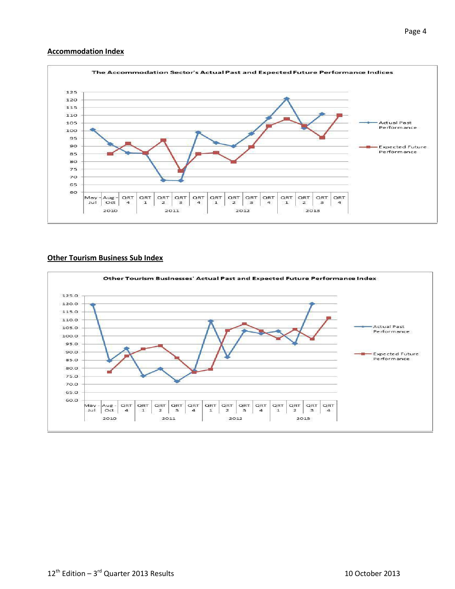#### **Accommodation Index**



#### **Other Tourism Business Sub Index**

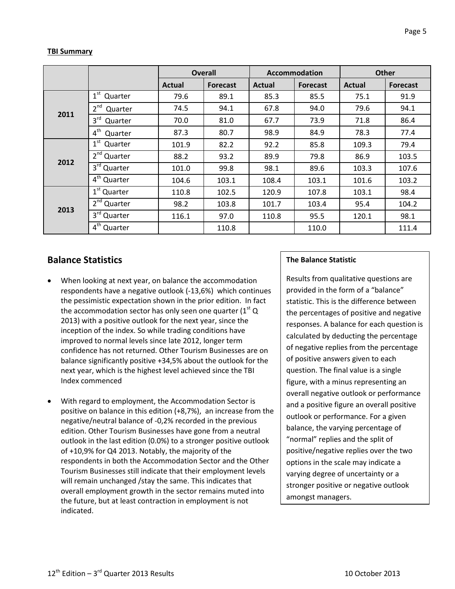#### **TBI Summary**

|      |                            | <b>Overall</b> |                 | <b>Accommodation</b> |                 | <b>Other</b>  |                 |
|------|----------------------------|----------------|-----------------|----------------------|-----------------|---------------|-----------------|
|      |                            | <b>Actual</b>  | <b>Forecast</b> | <b>Actual</b>        | <b>Forecast</b> | <b>Actual</b> | <b>Forecast</b> |
|      | $1st$ Quarter              | 79.6           | 89.1            | 85.3                 | 85.5            | 75.1          | 91.9            |
|      | 2 <sup>nd</sup><br>Quarter | 74.5           | 94.1            | 67.8                 | 94.0            | 79.6          | 94.1            |
| 2011 | $3^{\text{rd}}$<br>Quarter | 70.0           | 81.0            | 67.7                 | 73.9            | 71.8          | 86.4            |
|      | 4 <sup>th</sup><br>Quarter | 87.3           | 80.7            | 98.9                 | 84.9            | 78.3          | 77.4            |
| 2012 | $1^{\rm st}$<br>Quarter    | 101.9          | 82.2            | 92.2                 | 85.8            | 109.3         | 79.4            |
|      | 2 <sup>nd</sup> Quarter    | 88.2           | 93.2            | 89.9                 | 79.8            | 86.9          | 103.5           |
|      | 3rd Quarter                | 101.0          | 99.8            | 98.1                 | 89.6            | 103.3         | 107.6           |
|      | 4 <sup>th</sup> Quarter    | 104.6          | 103.1           | 108.4                | 103.1           | 101.6         | 103.2           |
| 2013 | 1 <sup>st</sup> Quarter    | 110.8          | 102.5           | 120.9                | 107.8           | 103.1         | 98.4            |
|      | 2 <sup>nd</sup> Quarter    | 98.2           | 103.8           | 101.7                | 103.4           | 95.4          | 104.2           |
|      | 3rd Quarter                | 116.1          | 97.0            | 110.8                | 95.5            | 120.1         | 98.1            |
|      | 4 <sup>th</sup> Quarter    |                | 110.8           |                      | 110.0           |               | 111.4           |

## **Balance Statistics**

- When looking at next year, on balance the accommodation respondents have a negative outlook (-13,6%) which continues the pessimistic expectation shown in the prior edition. In fact the accommodation sector has only seen one quarter ( $1<sup>st</sup>$  Q 2013) with a positive outlook for the next year, since the inception of the index. So while trading conditions have improved to normal levels since late 2012, longer term confidence has not returned. Other Tourism Businesses are on balance significantly positive +34,5% about the outlook for the next year, which is the highest level achieved since the TBI Index commenced
- With regard to employment, the Accommodation Sector is positive on balance in this edition (+8,7%), an increase from the negative/neutral balance of -0,2% recorded in the previous edition. Other Tourism Businesses have gone from a neutral outlook in the last edition (0.0%) to a stronger positive outlook of +10,9% for Q4 2013. Notably, the majority of the respondents in both the Accommodation Sector and the Other Tourism Businesses still indicate that their employment levels will remain unchanged /stay the same. This indicates that overall employment growth in the sector remains muted into the future, but at least contraction in employment is not indicated.

#### **The Balance Statistic**

Results from qualitative questions are provided in the form of a "balance" statistic. This is the difference between the percentages of positive and negative responses. A balance for each question is calculated by deducting the percentage of negative replies from the percentage of positive answers given to each question. The final value is a single figure, with a minus representing an overall negative outlook or performance and a positive figure an overall positive outlook or performance. For a given balance, the varying percentage of "normal" replies and the split of positive/negative replies over the two options in the scale may indicate a varying degree of uncertainty or a stronger positive or negative outlook amongst managers.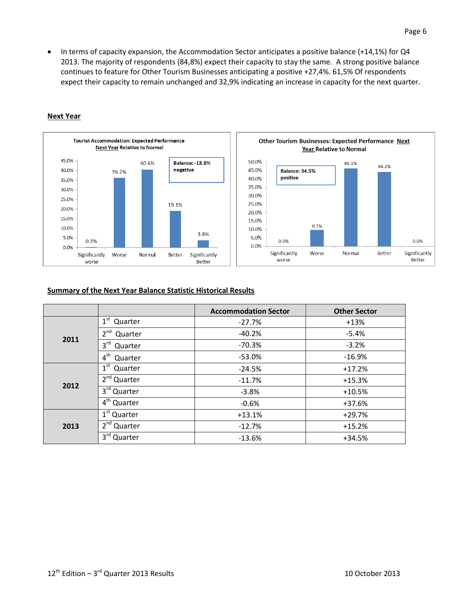• In terms of capacity expansion, the Accommodation Sector anticipates a positive balance (+14,1%) for Q4 2013. The majority of respondents (84,8%) expect their capacity to stay the same. A strong positive balance continues to feature for Other Tourism Businesses anticipating a positive +27,4%. 61,5% Of respondents expect their capacity to remain unchanged and 32,9% indicating an increase in capacity for the next quarter.



#### **Next Year**



#### **Summary of the Next Year Balance Statistic Historical Results**

|      |                            | <b>Accommodation Sector</b> | <b>Other Sector</b> |
|------|----------------------------|-----------------------------|---------------------|
|      | 1 <sup>st</sup> Quarter    | $-27.7%$                    | $+13%$              |
| 2011 | $2^{nd}$<br>Quarter        | $-40.2%$                    | $-5.4%$             |
|      | 3 <sup>rd</sup><br>Quarter | $-70.3%$                    | $-3.2%$             |
|      | 4 <sup>th</sup><br>Quarter | $-53.0%$                    | $-16.9%$            |
|      | $1st$ Quarter              | $-24.5%$                    | $+17.2%$            |
| 2012 | 2 <sup>nd</sup> Quarter    | $-11.7%$                    | $+15.3%$            |
|      | 3rd Quarter                | $-3.8%$                     | $+10.5%$            |
|      | 4 <sup>th</sup> Quarter    | $-0.6%$                     | $+37.6%$            |
|      | 1 <sup>st</sup> Quarter    | $+13.1%$                    | $+29.7%$            |
| 2013 | $2nd$ Quarter              | $-12.7%$                    | $+15.2%$            |
|      | $3^{\text{rd}}$<br>Quarter | $-13.6%$                    | +34.5%              |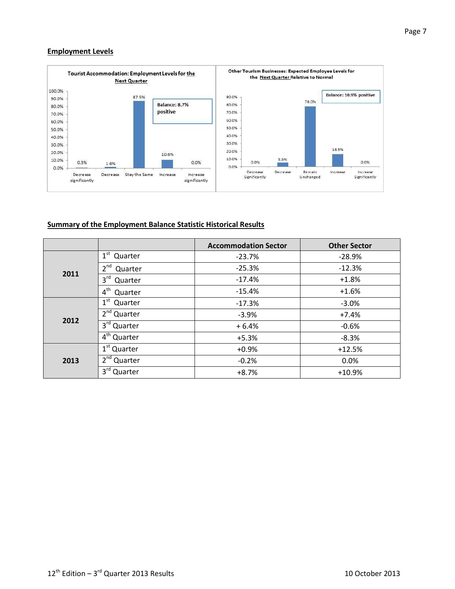#### **Employment Levels**



#### **Summary of the Employment Balance Statistic Historical Results**

|      |                                    | <b>Accommodation Sector</b> | <b>Other Sector</b> |
|------|------------------------------------|-----------------------------|---------------------|
|      | $1^{\rm st}$<br>Quarter            | $-23.7%$                    | $-28.9%$            |
| 2011 | $2^{nd}$<br>Quarter                | $-25.3%$                    | $-12.3%$            |
|      | 3 <sup>rd</sup><br>Quarter         | $-17.4%$                    | $+1.8%$             |
|      | 4 <sup>th</sup><br>Quarter         | $-15.4%$                    | $+1.6%$             |
|      | $1^{\rm st}$<br>Quarter            | $-17.3%$                    | $-3.0%$             |
| 2012 | 2 <sup>nd</sup> Quarter            | $-3.9%$                     | $+7.4%$             |
|      | 3rd Quarter                        | $+6.4%$                     | $-0.6%$             |
|      | $\overline{4}^{\text{th}}$ Quarter | $+5.3%$                     | $-8.3%$             |
|      | 1 <sup>st</sup> Quarter            | $+0.9%$                     | $+12.5%$            |
| 2013 | 2 <sup>nd</sup><br>Quarter         | $-0.2%$                     | 0.0%                |
|      | 3 <sup>rd</sup><br>Quarter         | $+8.7%$                     | $+10.9%$            |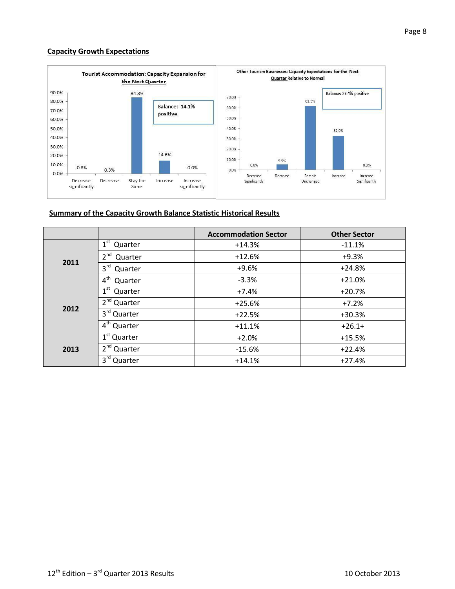#### **Capacity Growth Expectations**



#### **Summary of the Capacity Growth Balance Statistic Historical Results**

|      |                            | <b>Accommodation Sector</b> | <b>Other Sector</b> |
|------|----------------------------|-----------------------------|---------------------|
|      | $1st$ Quarter              | $+14.3%$                    | $-11.1%$            |
|      | $2^{nd}$<br>Quarter        | $+12.6%$                    | $+9.3%$             |
| 2011 | $3^{\text{rd}}$<br>Quarter | $+9.6%$                     | $+24.8%$            |
|      | 4 <sup>th</sup><br>Quarter | $-3.3%$                     | $+21.0%$            |
|      | $1^{\rm st}$<br>Quarter    | $+7.4%$                     | $+20.7%$            |
|      | $2nd$ Quarter              | $+25.6%$                    | $+7.2%$             |
| 2012 | 3rd Quarter                | $+22.5%$                    | $+30.3%$            |
|      | $4th$ Quarter              | $+11.1%$                    | $+26.1+$            |
|      | 1 <sup>st</sup> Quarter    | $+2.0%$                     | $+15.5%$            |
| 2013 | 2 <sup>nd</sup> Quarter    | $-15.6%$                    | $+22.4%$            |
|      | $3^{\text{rd}}$<br>Quarter | $+14.1%$                    | $+27.4%$            |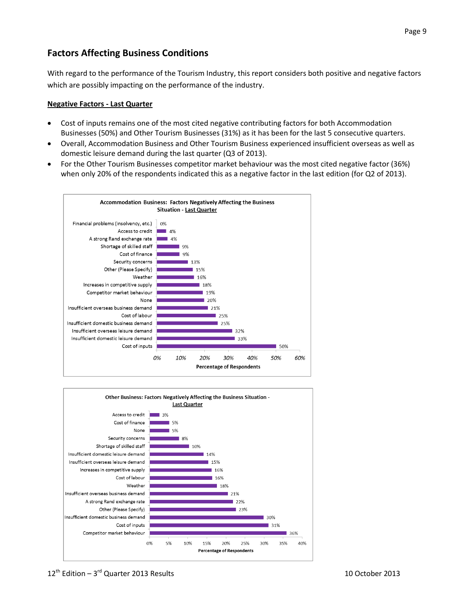# **Factors Affecting Business Conditions**

With regard to the performance of the Tourism Industry, this report considers both positive and negative factors which are possibly impacting on the performance of the industry.

#### **Negative Factors - Last Quarter**

- Cost of inputs remains one of the most cited negative contributing factors for both Accommodation Businesses (50%) and Other Tourism Businesses (31%) as it has been for the last 5 consecutive quarters.
- Overall, Accommodation Business and Other Tourism Business experienced insufficient overseas as well as domestic leisure demand during the last quarter (Q3 of 2013).
- For the Other Tourism Businesses competitor market behaviour was the most cited negative factor (36%) when only 20% of the respondents indicated this as a negative factor in the last edition (for Q2 of 2013).



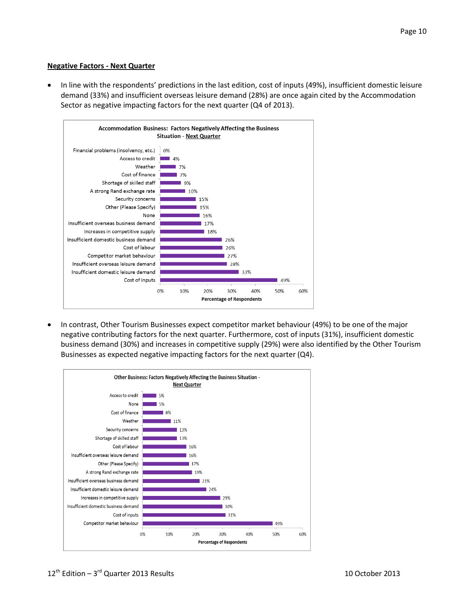#### **Negative Factors - Next Quarter**

 In line with the respondents' predictions in the last edition, cost of inputs (49%), insufficient domestic leisure demand (33%) and insufficient overseas leisure demand (28%) are once again cited by the Accommodation Sector as negative impacting factors for the next quarter (Q4 of 2013).



 In contrast, Other Tourism Businesses expect competitor market behaviour (49%) to be one of the major negative contributing factors for the next quarter. Furthermore, cost of inputs (31%), insufficient domestic business demand (30%) and increases in competitive supply (29%) were also identified by the Other Tourism Businesses as expected negative impacting factors for the next quarter (Q4).

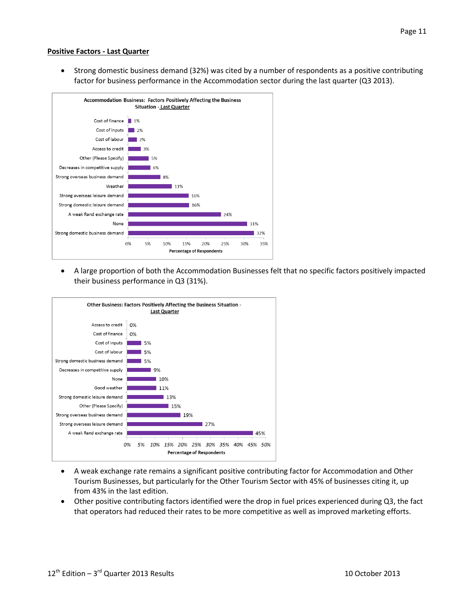#### **Positive Factors - Last Quarter**

 Strong domestic business demand (32%) was cited by a number of respondents as a positive contributing factor for business performance in the Accommodation sector during the last quarter (Q3 2013).



 A large proportion of both the Accommodation Businesses felt that no specific factors positively impacted their business performance in Q3 (31%).



- A weak exchange rate remains a significant positive contributing factor for Accommodation and Other Tourism Businesses, but particularly for the Other Tourism Sector with 45% of businesses citing it, up from 43% in the last edition.
- Other positive contributing factors identified were the drop in fuel prices experienced during Q3, the fact that operators had reduced their rates to be more competitive as well as improved marketing efforts.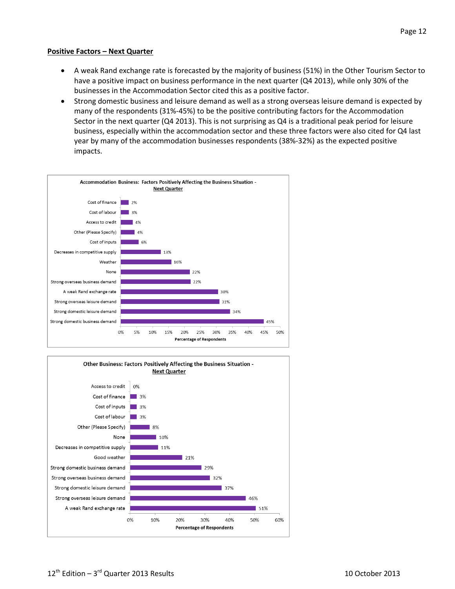#### **Positive Factors – Next Quarter**

- A weak Rand exchange rate is forecasted by the majority of business (51%) in the Other Tourism Sector to have a positive impact on business performance in the next quarter (Q4 2013), while only 30% of the businesses in the Accommodation Sector cited this as a positive factor.
- Strong domestic business and leisure demand as well as a strong overseas leisure demand is expected by many of the respondents (31%-45%) to be the positive contributing factors for the Accommodation Sector in the next quarter (Q4 2013). This is not surprising as Q4 is a traditional peak period for leisure business, especially within the accommodation sector and these three factors were also cited for Q4 last year by many of the accommodation businesses respondents (38%-32%) as the expected positive impacts.



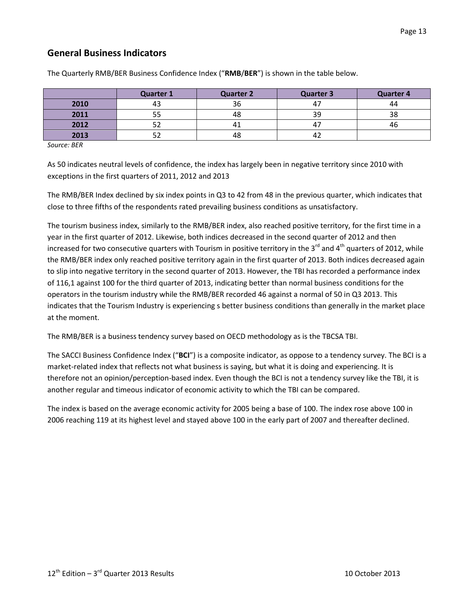## **General Business Indicators**

|      | <b>Quarter 1</b> | <b>Quarter 2</b> | <b>Quarter 3</b> | <b>Quarter 4</b> |
|------|------------------|------------------|------------------|------------------|
| 2010 |                  | 36               | 47               | 44               |
| 2011 |                  | 48               | 39               | 38               |
| 2012 |                  | 4⊾               | 47               | 46               |
| 2013 |                  | 48               | ے 4              |                  |

The Quarterly RMB/BER Business Confidence Index ("**RMB**/**BER**") is shown in the table below.

*Source: BER*

As 50 indicates neutral levels of confidence, the index has largely been in negative territory since 2010 with exceptions in the first quarters of 2011, 2012 and 2013

The RMB/BER Index declined by six index points in Q3 to 42 from 48 in the previous quarter, which indicates that close to three fifths of the respondents rated prevailing business conditions as unsatisfactory.

The tourism business index, similarly to the RMB/BER index, also reached positive territory, for the first time in a year in the first quarter of 2012. Likewise, both indices decreased in the second quarter of 2012 and then increased for two consecutive quarters with Tourism in positive territory in the 3<sup>rd</sup> and 4<sup>th</sup> quarters of 2012, while the RMB/BER index only reached positive territory again in the first quarter of 2013. Both indices decreased again to slip into negative territory in the second quarter of 2013. However, the TBI has recorded a performance index of 116,1 against 100 for the third quarter of 2013, indicating better than normal business conditions for the operators in the tourism industry while the RMB/BER recorded 46 against a normal of 50 in Q3 2013. This indicates that the Tourism Industry is experiencing s better business conditions than generally in the market place at the moment.

The RMB/BER is a business tendency survey based on OECD methodology as is the TBCSA TBI.

The SACCI Business Confidence Index ("**BCI**") is a composite indicator, as oppose to a tendency survey. The BCI is a market-related index that reflects not what business is saying, but what it is doing and experiencing. It is therefore not an opinion/perception-based index. Even though the BCI is not a tendency survey like the TBI, it is another regular and timeous indicator of economic activity to which the TBI can be compared.

The index is based on the average economic activity for 2005 being a base of 100. The index rose above 100 in 2006 reaching 119 at its highest level and stayed above 100 in the early part of 2007 and thereafter declined.